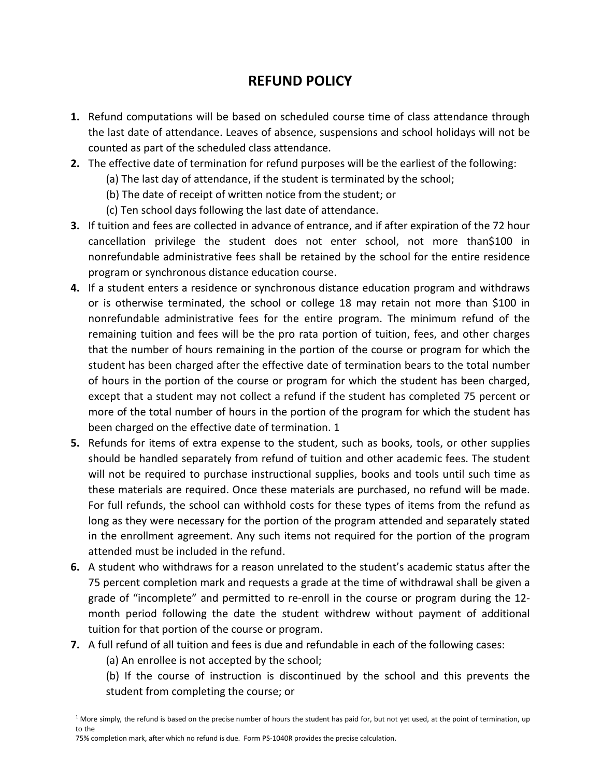## **REFUND POLICY**

- **1.** Refund computations will be based on scheduled course time of class attendance through the last date of attendance. Leaves of absence, suspensions and school holidays will not be counted as part of the scheduled class attendance.
- **2.** The effective date of termination for refund purposes will be the earliest of the following:
	- (a) The last day of attendance, if the student is terminated by the school;
	- (b) The date of receipt of written notice from the student; or
	- (c) Ten school days following the last date of attendance.
- **3.** If tuition and fees are collected in advance of entrance, and if after expiration of the 72 hour cancellation privilege the student does not enter school, not more than\$100 in nonrefundable administrative fees shall be retained by the school for the entire residence program or synchronous distance education course.
- **4.** If a student enters a residence or synchronous distance education program and withdraws or is otherwise terminated, the school or college 18 may retain not more than \$100 in nonrefundable administrative fees for the entire program. The minimum refund of the remaining tuition and fees will be the pro rata portion of tuition, fees, and other charges that the number of hours remaining in the portion of the course or program for which the student has been charged after the effective date of termination bears to the total number of hours in the portion of the course or program for which the student has been charged, except that a student may not collect a refund if the student has completed 75 percent or more of the total number of hours in the portion of the program for which the student has been charged on the effective date of termination. 1
- **5.** Refunds for items of extra expense to the student, such as books, tools, or other supplies should be handled separately from refund of tuition and other academic fees. The student will not be required to purchase instructional supplies, books and tools until such time as these materials are required. Once these materials are purchased, no refund will be made. For full refunds, the school can withhold costs for these types of items from the refund as long as they were necessary for the portion of the program attended and separately stated in the enrollment agreement. Any such items not required for the portion of the program attended must be included in the refund.
- **6.** A student who withdraws for a reason unrelated to the student's academic status after the 75 percent completion mark and requests a grade at the time of withdrawal shall be given a grade of "incomplete" and permitted to re-enroll in the course or program during the 12 month period following the date the student withdrew without payment of additional tuition for that portion of the course or program.
- **7.** A full refund of all tuition and fees is due and refundable in each of the following cases:
	- (a) An enrollee is not accepted by the school;
	- (b) If the course of instruction is discontinued by the school and this prevents the student from completing the course; or

75% completion mark, after which no refund is due. Form PS-1040R provides the precise calculation.